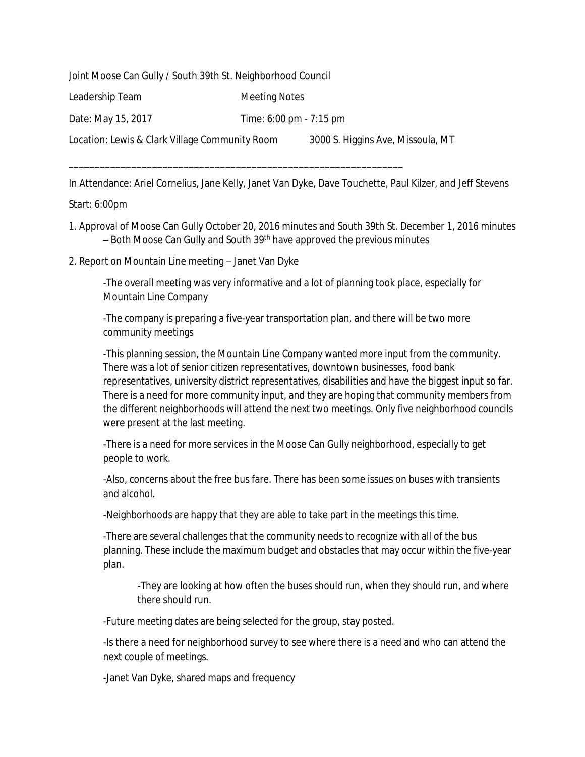Joint Moose Can Gully / South 39th St. Neighborhood Council

Leadership Team Meeting Notes

Date: May 15, 2017 Time: 6:00 pm - 7:15 pm

\_\_\_\_\_\_\_\_\_\_\_\_\_\_\_\_\_\_\_\_\_\_\_\_\_\_\_\_\_\_\_\_\_\_\_\_\_\_\_\_\_\_\_\_\_\_\_\_\_\_\_\_\_\_\_\_\_\_\_\_\_\_\_\_

Location: Lewis & Clark Village Community Room 3000 S. Higgins Ave, Missoula, MT

In Attendance: Ariel Cornelius, Jane Kelly, Janet Van Dyke, Dave Touchette, Paul Kilzer, and Jeff Stevens

## Start: 6:00pm

- 1. Approval of Moose Can Gully October 20, 2016 minutes and South 39th St. December 1, 2016 minutes – Both Moose Can Gully and South 39<sup>th</sup> have approved the previous minutes
- 2. Report on Mountain Line meeting Janet Van Dyke

-The overall meeting was very informative and a lot of planning took place, especially for Mountain Line Company

-The company is preparing a five-year transportation plan, and there will be two more community meetings

-This planning session, the Mountain Line Company wanted more input from the community. There was a lot of senior citizen representatives, downtown businesses, food bank representatives, university district representatives, disabilities and have the biggest input so far. There is a need for more community input, and they are hoping that community members from the different neighborhoods will attend the next two meetings. Only five neighborhood councils were present at the last meeting.

-There is a need for more services in the Moose Can Gully neighborhood, especially to get people to work.

-Also, concerns about the free bus fare. There has been some issues on buses with transients and alcohol.

-Neighborhoods are happy that they are able to take part in the meetings this time.

-There are several challenges that the community needs to recognize with all of the bus planning. These include the maximum budget and obstacles that may occur within the five-year plan.

-They are looking at how often the buses should run, when they should run, and where there should run.

-Future meeting dates are being selected for the group, stay posted.

-Is there a need for neighborhood survey to see where there is a need and who can attend the next couple of meetings.

-Janet Van Dyke, shared maps and frequency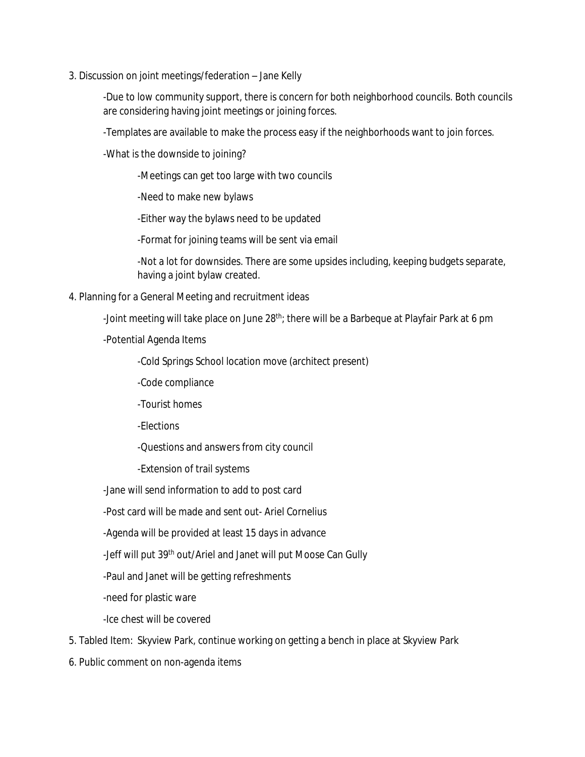3. Discussion on joint meetings/federation – Jane Kelly

-Due to low community support, there is concern for both neighborhood councils. Both councils are considering having joint meetings or joining forces.

-Templates are available to make the process easy if the neighborhoods want to join forces.

-What is the downside to joining?

-Meetings can get too large with two councils

-Need to make new bylaws

-Either way the bylaws need to be updated

-Format for joining teams will be sent via email

-Not a lot for downsides. There are some upsides including, keeping budgets separate, having a joint bylaw created.

4. Planning for a General Meeting and recruitment ideas

-Joint meeting will take place on June 28<sup>th</sup>; there will be a Barbeque at Playfair Park at 6 pm

-Potential Agenda Items

-Cold Springs School location move (architect present)

-Code compliance

-Tourist homes

-Elections

-Questions and answers from city council

-Extension of trail systems

-Jane will send information to add to post card

-Post card will be made and sent out- Ariel Cornelius

-Agenda will be provided at least 15 days in advance

-Jeff will put 39<sup>th</sup> out/Ariel and Janet will put Moose Can Gully

-Paul and Janet will be getting refreshments

-need for plastic ware

-Ice chest will be covered

5. Tabled Item: Skyview Park, continue working on getting a bench in place at Skyview Park

6. Public comment on non-agenda items